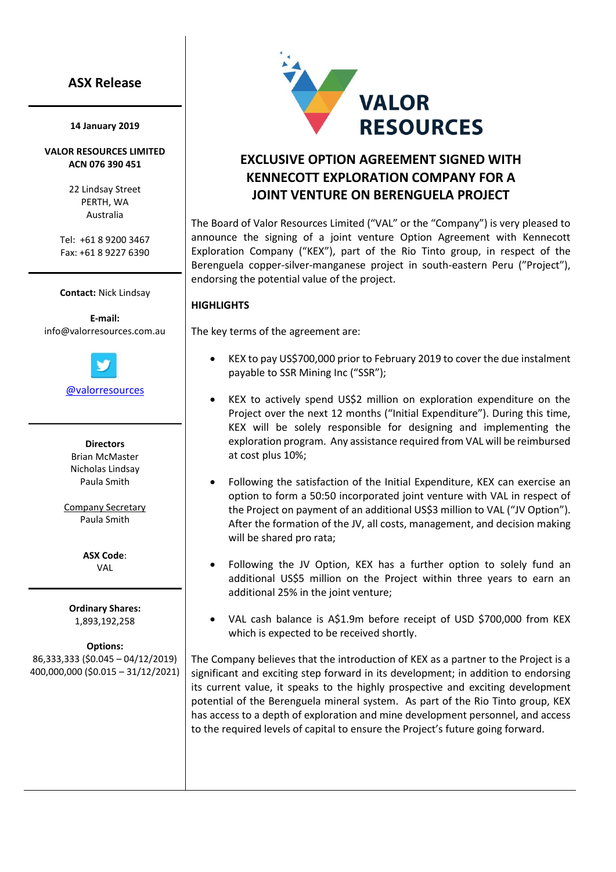## **ASX Release**

#### **14 January 2019**

## **VALOR RESOURCES LIMITED ACN 076 390 451**

22 Lindsay Street PERTH, WA Australia

Tel: +61 8 9200 3467 Fax: +61 8 9227 6390

**Contact:** Nick Lindsay

**E-mail:** [info@valorresources.com.au](mailto:info@carajascopper.com)



[@valorresources](https://twitter.com/valorresources)

**Directors** Brian McMaster Nicholas Lindsay Paula Smith

Company Secretary Paula Smith

> **ASX Code**: VAL

**Ordinary Shares:** 1,893,192,258

**Options:** 86,333,333 (\$0.045 – 04/12/2019) 400,000,000 (\$0.015 – 31/12/2021)



# **EXCLUSIVE OPTION AGREEMENT SIGNED WITH KENNECOTT EXPLORATION COMPANY FOR A JOINT VENTURE ON BERENGUELA PROJECT**

The Board of Valor Resources Limited ("VAL" or the "Company") is very pleased to announce the signing of a joint venture Option Agreement with Kennecott Exploration Company ("KEX"), part of the Rio Tinto group, in respect of the Berenguela copper-silver-manganese project in south-eastern Peru ("Project"), endorsing the potential value of the project.

## **HIGHLIGHTS**

The key terms of the agreement are:

- KEX to pay US\$700,000 prior to February 2019 to cover the due instalment payable to SSR Mining Inc ("SSR");
- KEX to actively spend US\$2 million on exploration expenditure on the Project over the next 12 months ("Initial Expenditure"). During this time, KEX will be solely responsible for designing and implementing the exploration program. Any assistance required from VAL will be reimbursed at cost plus 10%;
- Following the satisfaction of the Initial Expenditure, KEX can exercise an option to form a 50:50 incorporated joint venture with VAL in respect of the Project on payment of an additional US\$3 million to VAL ("JV Option"). After the formation of the JV, all costs, management, and decision making will be shared pro rata;
- Following the JV Option, KEX has a further option to solely fund an additional US\$5 million on the Project within three years to earn an additional 25% in the joint venture;
- VAL cash balance is A\$1.9m before receipt of USD \$700,000 from KEX which is expected to be received shortly.

The Company believes that the introduction of KEX as a partner to the Project is a significant and exciting step forward in its development; in addition to endorsing its current value, it speaks to the highly prospective and exciting development potential of the Berenguela mineral system. As part of the Rio Tinto group, KEX has access to a depth of exploration and mine development personnel, and access to the required levels of capital to ensure the Project's future going forward.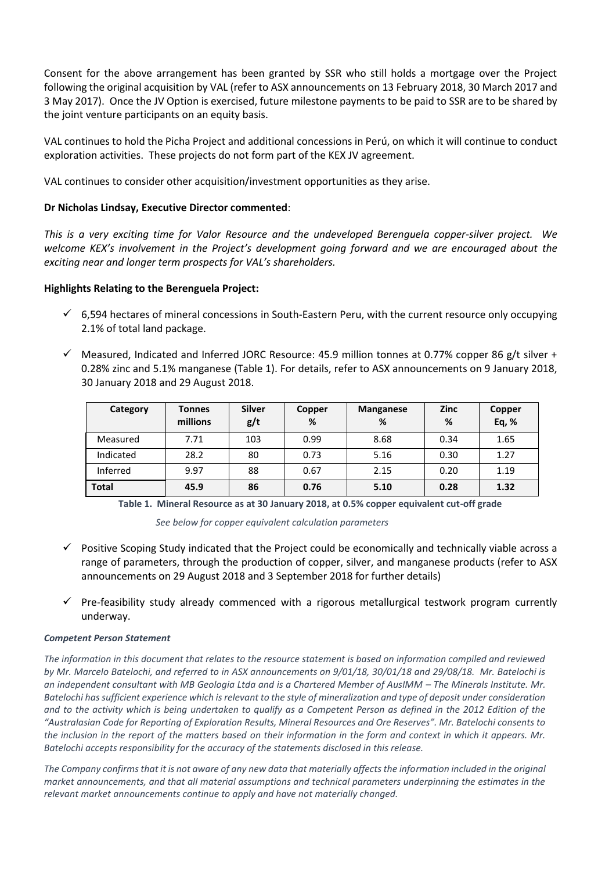Consent for the above arrangement has been granted by SSR who still holds a mortgage over the Project following the original acquisition by VAL (refer to ASX announcements on 13 February 2018, 30 March 2017 and 3 May 2017). Once the JV Option is exercised, future milestone payments to be paid to SSR are to be shared by the joint venture participants on an equity basis.

VAL continues to hold the Picha Project and additional concessions in Perú, on which it will continue to conduct exploration activities. These projects do not form part of the KEX JV agreement.

VAL continues to consider other acquisition/investment opportunities as they arise.

## **Dr Nicholas Lindsay, Executive Director commented**:

*This is a very exciting time for Valor Resource and the undeveloped Berenguela copper-silver project. We*  welcome KEX's involvement in the Project's development going forward and we are encouraged about the *exciting near and longer term prospects for VAL's shareholders.*

## **Highlights Relating to the Berenguela Project:**

- $\check{\phantom{1}}$  6,594 hectares of mineral concessions in South-Eastern Peru, with the current resource only occupying 2.1% of total land package.
- $\checkmark$  Measured, Indicated and Inferred JORC Resource: 45.9 million tonnes at 0.77% copper 86 g/t silver + 0.28% zinc and 5.1% manganese (Table 1). For details, refer to ASX announcements on 9 January 2018, 30 January 2018 and 29 August 2018.

| Category     | <b>Tonnes</b><br>millions | <b>Silver</b><br>g/t | Copper<br>% | Manganese<br>% | <b>Zinc</b><br>℅ | Copper<br>Eq, % |
|--------------|---------------------------|----------------------|-------------|----------------|------------------|-----------------|
| Measured     | 7.71                      | 103                  | 0.99        | 8.68           | 0.34             | 1.65            |
| Indicated    | 28.2                      | 80                   | 0.73        | 5.16           | 0.30             | 1.27            |
| Inferred     | 9.97                      | 88                   | 0.67        | 2.15           | 0.20             | 1.19            |
| <b>Total</b> | 45.9                      | 86                   | 0.76        | 5.10           | 0.28             | 1.32            |

**Table 1. Mineral Resource as at 30 January 2018, at 0.5% copper equivalent cut-off grade**

*See below for copper equivalent calculation parameters*

- ✓ Positive Scoping Study indicated that the Project could be economically and technically viable across a range of parameters, through the production of copper, silver, and manganese products (refer to ASX announcements on 29 August 2018 and 3 September 2018 for further details)
- Pre-feasibility study already commenced with a rigorous metallurgical testwork program currently underway.

## *Competent Person Statement*

*The information in this document that relates to the resource statement is based on information compiled and reviewed by Mr. Marcelo Batelochi, and referred to in ASX announcements on 9/01/18, 30/01/18 and 29/08/18. Mr. Batelochi is*  an independent consultant with MB Geologia Ltda and is a Chartered Member of AusIMM – The Minerals Institute. Mr. *Batelochi has sufficient experience which is relevant to the style of mineralization and type of deposit under consideration*  and to the activity which is being undertaken to qualify as a Competent Person as defined in the 2012 Edition of the *"Australasian Code for Reporting of Exploration Results, Mineral Resources and Ore Reserves". Mr. Batelochi consents to the inclusion in the report of the matters based on their information in the form and context in which it appears. Mr. Batelochi accepts responsibility for the accuracy of the statements disclosed in this release.*

*The Company confirms that it is not aware of any new data that materially affects the information included in the original market announcements, and that all material assumptions and technical parameters underpinning the estimates in the relevant market announcements continue to apply and have not materially changed.*